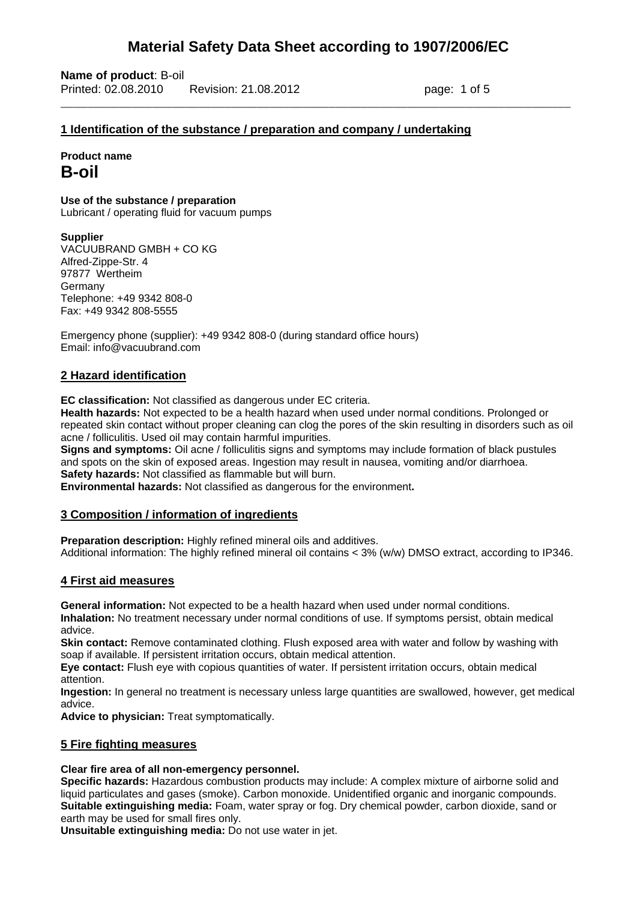\_\_\_\_\_\_\_\_\_\_\_\_\_\_\_\_\_\_\_\_\_\_\_\_\_\_\_\_\_\_\_\_\_\_\_\_\_\_\_\_\_\_\_\_\_\_\_\_\_\_\_\_\_\_\_\_\_\_\_\_\_\_\_\_\_\_\_\_\_\_\_\_\_\_\_\_\_\_

**Name of product**: B-oil Printed: 02.08.2010 Revision: 21.08.2012 page: 1 of 5

#### **1 Identification of the substance / preparation and company / undertaking**

**Product name B-oil** 

## **Use of the substance / preparation**

Lubricant / operating fluid for vacuum pumps

#### **Supplier**

VACUUBRAND GMBH + CO KG Alfred-Zippe-Str. 4 97877 Wertheim Germany Telephone: +49 9342 808-0 Fax: +49 9342 808-5555

Emergency phone (supplier): +49 9342 808-0 (during standard office hours) Email: info@vacuubrand.com

#### **2 Hazard identification**

**EC classification:** Not classified as dangerous under EC criteria.

**Health hazards:** Not expected to be a health hazard when used under normal conditions. Prolonged or repeated skin contact without proper cleaning can clog the pores of the skin resulting in disorders such as oil acne / folliculitis. Used oil may contain harmful impurities.

**Signs and symptoms:** Oil acne / folliculitis signs and symptoms may include formation of black pustules and spots on the skin of exposed areas. Ingestion may result in nausea, vomiting and/or diarrhoea. **Safety hazards:** Not classified as flammable but will burn.

**Environmental hazards:** Not classified as dangerous for the environment**.**

#### **3 Composition / information of ingredients**

**Preparation description:** Highly refined mineral oils and additives. Additional information: The highly refined mineral oil contains < 3% (w/w) DMSO extract, according to IP346.

### **4 First aid measures**

**General information:** Not expected to be a health hazard when used under normal conditions. **Inhalation:** No treatment necessary under normal conditions of use. If symptoms persist, obtain medical advice.

**Skin contact:** Remove contaminated clothing. Flush exposed area with water and follow by washing with soap if available. If persistent irritation occurs, obtain medical attention.

**Eye contact:** Flush eye with copious quantities of water. If persistent irritation occurs, obtain medical attention.

**Ingestion:** In general no treatment is necessary unless large quantities are swallowed, however, get medical advice.

**Advice to physician:** Treat symptomatically.

### **5 Fire fighting measures**

#### **Clear fire area of all non-emergency personnel.**

**Specific hazards:** Hazardous combustion products may include: A complex mixture of airborne solid and liquid particulates and gases (smoke). Carbon monoxide. Unidentified organic and inorganic compounds. **Suitable extinguishing media:** Foam, water spray or fog. Dry chemical powder, carbon dioxide, sand or earth may be used for small fires only.

**Unsuitable extinguishing media:** Do not use water in jet.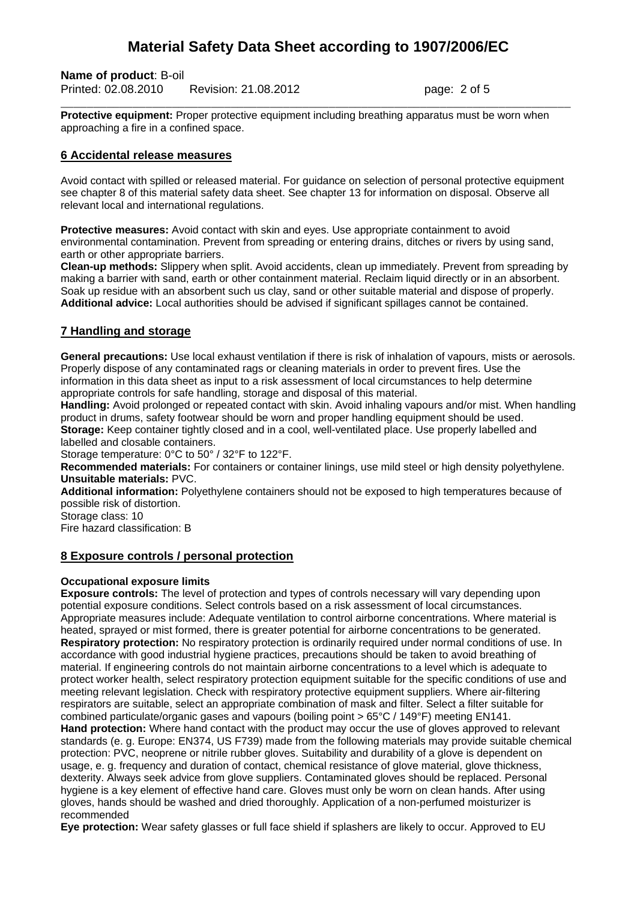### **Name of product**: B-oil

Printed: 02.08.2010 Revision: 21.08.2012 page: 2 of 5

**Protective equipment:** Proper protective equipment including breathing apparatus must be worn when approaching a fire in a confined space.

\_\_\_\_\_\_\_\_\_\_\_\_\_\_\_\_\_\_\_\_\_\_\_\_\_\_\_\_\_\_\_\_\_\_\_\_\_\_\_\_\_\_\_\_\_\_\_\_\_\_\_\_\_\_\_\_\_\_\_\_\_\_\_\_\_\_\_\_\_\_\_\_\_\_\_\_\_\_

#### **6 Accidental release measures**

Avoid contact with spilled or released material. For guidance on selection of personal protective equipment see chapter 8 of this material safety data sheet. See chapter 13 for information on disposal. Observe all relevant local and international regulations.

**Protective measures:** Avoid contact with skin and eyes. Use appropriate containment to avoid environmental contamination. Prevent from spreading or entering drains, ditches or rivers by using sand, earth or other appropriate barriers.

**Clean-up methods:** Slippery when split. Avoid accidents, clean up immediately. Prevent from spreading by making a barrier with sand, earth or other containment material. Reclaim liquid directly or in an absorbent. Soak up residue with an absorbent such us clay, sand or other suitable material and dispose of properly. **Additional advice:** Local authorities should be advised if significant spillages cannot be contained.

### **7 Handling and storage**

**General precautions:** Use local exhaust ventilation if there is risk of inhalation of vapours, mists or aerosols. Properly dispose of any contaminated rags or cleaning materials in order to prevent fires. Use the information in this data sheet as input to a risk assessment of local circumstances to help determine appropriate controls for safe handling, storage and disposal of this material.

**Handling:** Avoid prolonged or repeated contact with skin. Avoid inhaling vapours and/or mist. When handling product in drums, safety footwear should be worn and proper handling equipment should be used. **Storage:** Keep container tightly closed and in a cool, well-ventilated place. Use properly labelled and labelled and closable containers.

Storage temperature: 0°C to 50° / 32°F to 122°F.

**Recommended materials:** For containers or container linings, use mild steel or high density polyethylene. **Unsuitable materials:** PVC.

**Additional information:** Polyethylene containers should not be exposed to high temperatures because of possible risk of distortion.

Storage class: 10

Fire hazard classification: B

#### **8 Exposure controls / personal protection**

#### **Occupational exposure limits**

**Exposure controls:** The level of protection and types of controls necessary will vary depending upon potential exposure conditions. Select controls based on a risk assessment of local circumstances. Appropriate measures include: Adequate ventilation to control airborne concentrations. Where material is heated, sprayed or mist formed, there is greater potential for airborne concentrations to be generated. **Respiratory protection:** No respiratory protection is ordinarily required under normal conditions of use. In accordance with good industrial hygiene practices, precautions should be taken to avoid breathing of material. If engineering controls do not maintain airborne concentrations to a level which is adequate to protect worker health, select respiratory protection equipment suitable for the specific conditions of use and meeting relevant legislation. Check with respiratory protective equipment suppliers. Where air-filtering respirators are suitable, select an appropriate combination of mask and filter. Select a filter suitable for combined particulate/organic gases and vapours (boiling point > 65°C / 149°F) meeting EN141. **Hand protection:** Where hand contact with the product may occur the use of gloves approved to relevant standards (e. g. Europe: EN374, US F739) made from the following materials may provide suitable chemical protection: PVC, neoprene or nitrile rubber gloves. Suitability and durability of a glove is dependent on usage, e. g. frequency and duration of contact, chemical resistance of glove material, glove thickness, dexterity. Always seek advice from glove suppliers. Contaminated gloves should be replaced. Personal hygiene is a key element of effective hand care. Gloves must only be worn on clean hands. After using gloves, hands should be washed and dried thoroughly. Application of a non-perfumed moisturizer is recommended

**Eye protection:** Wear safety glasses or full face shield if splashers are likely to occur. Approved to EU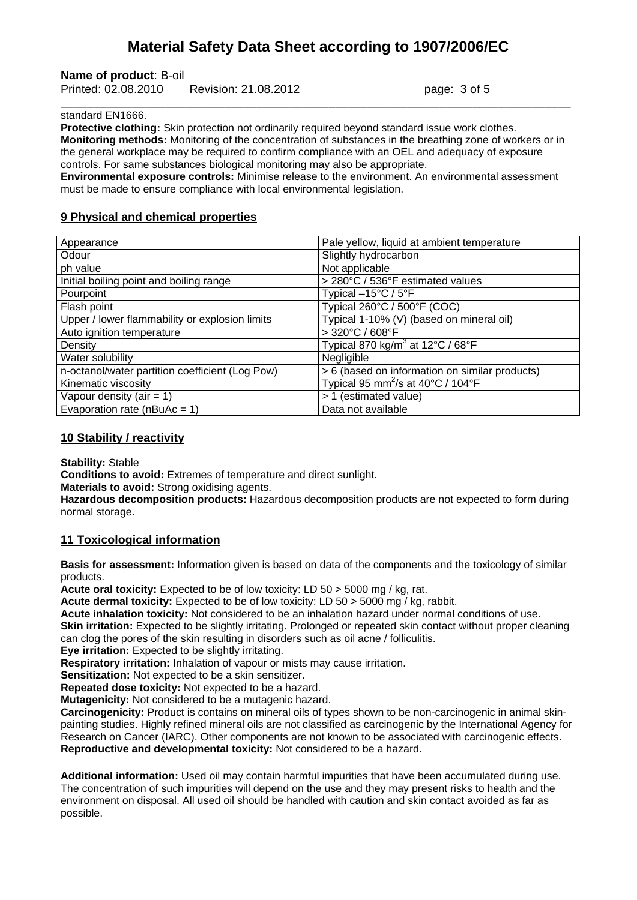**Name of product**: B-oil

Printed: 02.08.2010 Revision: 21.08.2012 page: 3 of 5

#### standard EN1666.

**Protective clothing:** Skin protection not ordinarily required beyond standard issue work clothes. **Monitoring methods:** Monitoring of the concentration of substances in the breathing zone of workers or in the general workplace may be required to confirm compliance with an OEL and adequacy of exposure controls. For same substances biological monitoring may also be appropriate.

\_\_\_\_\_\_\_\_\_\_\_\_\_\_\_\_\_\_\_\_\_\_\_\_\_\_\_\_\_\_\_\_\_\_\_\_\_\_\_\_\_\_\_\_\_\_\_\_\_\_\_\_\_\_\_\_\_\_\_\_\_\_\_\_\_\_\_\_\_\_\_\_\_\_\_\_\_\_

**Environmental exposure controls:** Minimise release to the environment. An environmental assessment must be made to ensure compliance with local environmental legislation.

#### **9 Physical and chemical properties**

| Appearance                                      | Pale yellow, liquid at ambient temperature                          |
|-------------------------------------------------|---------------------------------------------------------------------|
| Odour                                           | Slightly hydrocarbon                                                |
| ph value                                        | Not applicable                                                      |
| Initial boiling point and boiling range         | > 280°C / 536°F estimated values                                    |
| Pourpoint                                       | Typical $-15^{\circ}$ C / $5^{\circ}$ F                             |
| Flash point                                     | Typical 260°C / 500°F (COC)                                         |
| Upper / lower flammability or explosion limits  | Typical 1-10% (V) (based on mineral oil)                            |
| Auto ignition temperature                       | > 320°C / 608°F                                                     |
| Density                                         | Typical 870 kg/m <sup>3</sup> at 12°C / 68°F                        |
| Water solubility                                | Negligible                                                          |
| n-octanol/water partition coefficient (Log Pow) | > 6 (based on information on similar products)                      |
| Kinematic viscosity                             | Typical 95 mm <sup>2</sup> /s at 40 $^{\circ}$ C / 104 $^{\circ}$ F |
| Vapour density (air = $1$ )                     | > 1 (estimated value)                                               |
| Evaporation rate ( $nBuAc = 1$ )                | Data not available                                                  |

#### **10 Stability / reactivity**

**Stability:** Stable

**Conditions to avoid:** Extremes of temperature and direct sunlight.

**Materials to avoid:** Strong oxidising agents.

**Hazardous decomposition products:** Hazardous decomposition products are not expected to form during normal storage.

#### **11 Toxicological information**

**Basis for assessment:** Information given is based on data of the components and the toxicology of similar products.

**Acute oral toxicity:** Expected to be of low toxicity: LD 50 > 5000 mg / kg, rat.

**Acute dermal toxicity:** Expected to be of low toxicity: LD 50 > 5000 mg / kg, rabbit.

**Acute inhalation toxicity:** Not considered to be an inhalation hazard under normal conditions of use. **Skin irritation:** Expected to be slightly irritating. Prolonged or repeated skin contact without proper cleaning can clog the pores of the skin resulting in disorders such as oil acne / folliculitis.

**Eye irritation:** Expected to be slightly irritating.

**Respiratory irritation:** Inhalation of vapour or mists may cause irritation.

**Sensitization:** Not expected to be a skin sensitizer.

**Repeated dose toxicity:** Not expected to be a hazard.

**Mutagenicity:** Not considered to be a mutagenic hazard.

**Carcinogenicity:** Product is contains on mineral oils of types shown to be non-carcinogenic in animal skinpainting studies. Highly refined mineral oils are not classified as carcinogenic by the International Agency for Research on Cancer (IARC). Other components are not known to be associated with carcinogenic effects. **Reproductive and developmental toxicity:** Not considered to be a hazard.

**Additional information:** Used oil may contain harmful impurities that have been accumulated during use. The concentration of such impurities will depend on the use and they may present risks to health and the environment on disposal. All used oil should be handled with caution and skin contact avoided as far as possible.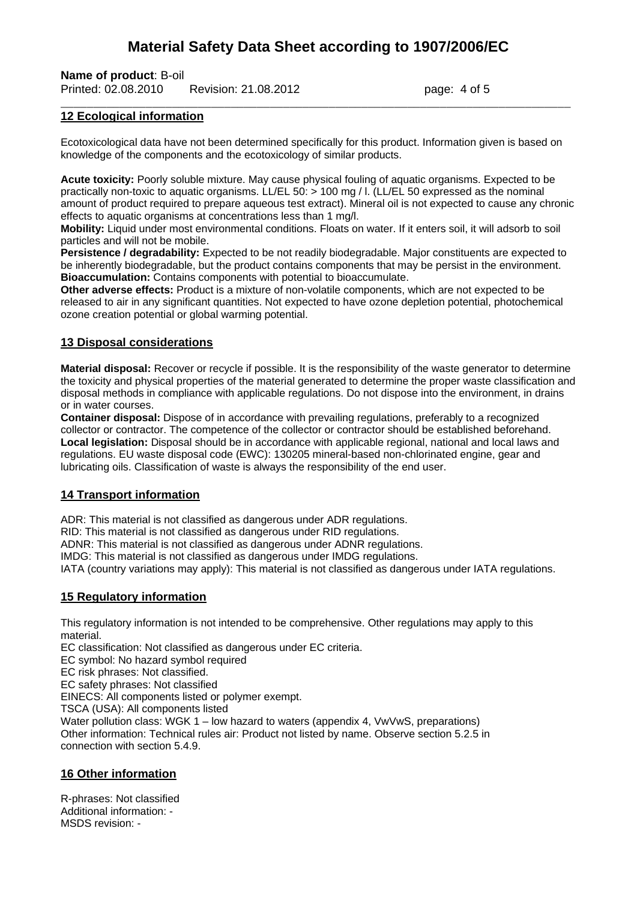**Name of product**: B-oil Printed: 02.08.2010 Revision: 21.08.2012 page: 4 of 5

#### **12 Ecological information**

Ecotoxicological data have not been determined specifically for this product. Information given is based on knowledge of the components and the ecotoxicology of similar products.

\_\_\_\_\_\_\_\_\_\_\_\_\_\_\_\_\_\_\_\_\_\_\_\_\_\_\_\_\_\_\_\_\_\_\_\_\_\_\_\_\_\_\_\_\_\_\_\_\_\_\_\_\_\_\_\_\_\_\_\_\_\_\_\_\_\_\_\_\_\_\_\_\_\_\_\_\_\_

**Acute toxicity:** Poorly soluble mixture. May cause physical fouling of aquatic organisms. Expected to be practically non-toxic to aquatic organisms. LL/EL 50: > 100 mg / l. (LL/EL 50 expressed as the nominal amount of product required to prepare aqueous test extract). Mineral oil is not expected to cause any chronic effects to aquatic organisms at concentrations less than 1 mg/l.

**Mobility:** Liquid under most environmental conditions. Floats on water. If it enters soil, it will adsorb to soil particles and will not be mobile.

**Persistence / degradability:** Expected to be not readily biodegradable. Major constituents are expected to be inherently biodegradable, but the product contains components that may be persist in the environment. **Bioaccumulation:** Contains components with potential to bioaccumulate.

**Other adverse effects:** Product is a mixture of non-volatile components, which are not expected to be released to air in any significant quantities. Not expected to have ozone depletion potential, photochemical ozone creation potential or global warming potential.

#### **13 Disposal considerations**

**Material disposal:** Recover or recycle if possible. It is the responsibility of the waste generator to determine the toxicity and physical properties of the material generated to determine the proper waste classification and disposal methods in compliance with applicable regulations. Do not dispose into the environment, in drains or in water courses.

**Container disposal:** Dispose of in accordance with prevailing regulations, preferably to a recognized collector or contractor. The competence of the collector or contractor should be established beforehand. **Local legislation:** Disposal should be in accordance with applicable regional, national and local laws and regulations. EU waste disposal code (EWC): 130205 mineral-based non-chlorinated engine, gear and lubricating oils. Classification of waste is always the responsibility of the end user.

#### **14 Transport information**

ADR: This material is not classified as dangerous under ADR regulations.

RID: This material is not classified as dangerous under RID regulations.

ADNR: This material is not classified as dangerous under ADNR regulations.

IMDG: This material is not classified as dangerous under IMDG regulations.

IATA (country variations may apply): This material is not classified as dangerous under IATA regulations.

#### **15 Regulatory information**

This regulatory information is not intended to be comprehensive. Other regulations may apply to this material.

EC classification: Not classified as dangerous under EC criteria.

EC symbol: No hazard symbol required

EC risk phrases: Not classified.

EC safety phrases: Not classified

EINECS: All components listed or polymer exempt.

TSCA (USA): All components listed

Water pollution class: WGK 1 – low hazard to waters (appendix 4, VwVwS, preparations) Other information: Technical rules air: Product not listed by name. Observe section 5.2.5 in connection with section 5.4.9.

#### **16 Other information**

R-phrases: Not classified Additional information: - MSDS revision: -